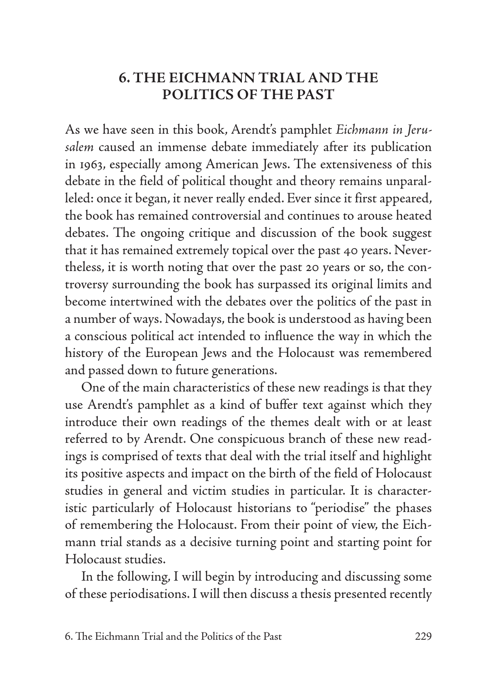## **6. THE EICHMANN TRIAL AND THE POLITICS OF THE PAST**

As we have seen in this book, Arendt's pamphlet *Eichmann in Jerusalem* caused an immense debate immediately after its publication in 1963, especially among American Jews. The extensiveness of this debate in the field of political thought and theory remains unparalleled: once it began, it never really ended. Ever since it first appeared, the book has remained controversial and continues to arouse heated debates. The ongoing critique and discussion of the book suggest that it has remained extremely topical over the past 40 years. Nevertheless, it is worth noting that over the past 20 years or so, the controversy surrounding the book has surpassed its original limits and become intertwined with the debates over the politics of the past in a number of ways. Nowadays, the book is understood as having been a conscious political act intended to influence the way in which the history of the European Jews and the Holocaust was remembered and passed down to future generations.

One of the main characteristics of these new readings is that they use Arendt's pamphlet as a kind of buffer text against which they introduce their own readings of the themes dealt with or at least referred to by Arendt. One conspicuous branch of these new readings is comprised of texts that deal with the trial itself and highlight its positive aspects and impact on the birth of the field of Holocaust studies in general and victim studies in particular. It is characteristic particularly of Holocaust historians to "periodise" the phases of remembering the Holocaust. From their point of view, the Eichmann trial stands as a decisive turning point and starting point for Holocaust studies.

In the following, I will begin by introducing and discussing some of these periodisations. I will then discuss a thesis presented recently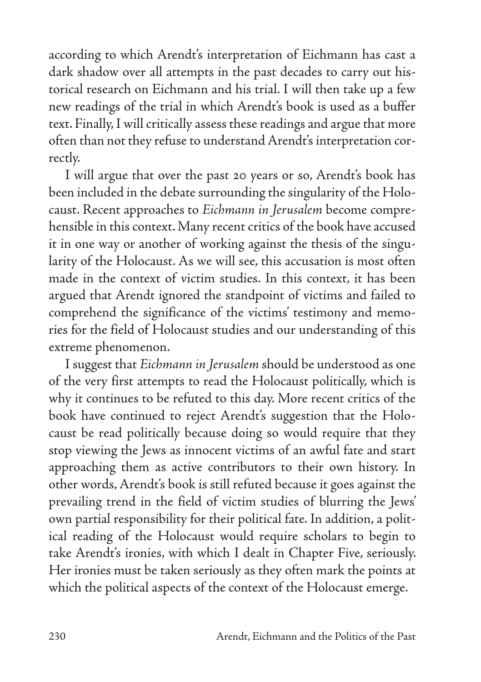according to which Arendt's interpretation of Eichmann has cast a dark shadow over all attempts in the past decades to carry out historical research on Eichmann and his trial. I will then take up a few new readings of the trial in which Arendt's book is used as a buffer text. Finally, I will critically assess these readings and argue that more often than not they refuse to understand Arendt's interpretation correctly.

I will argue that over the past 20 years or so, Arendt's book has been included in the debate surrounding the singularity of the Holocaust. Recent approaches to *Eichmann in Jerusalem* become comprehensible in this context. Many recent critics of the book have accused it in one way or another of working against the thesis of the singularity of the Holocaust. As we will see, this accusation is most often made in the context of victim studies. In this context, it has been argued that Arendt ignored the standpoint of victims and failed to comprehend the significance of the victims' testimony and memories for the field of Holocaust studies and our understanding of this extreme phenomenon.

I suggest that *Eichmann in Jerusalem* should be understood as one of the very first attempts to read the Holocaust politically, which is why it continues to be refuted to this day. More recent critics of the book have continued to reject Arendt's suggestion that the Holocaust be read politically because doing so would require that they stop viewing the Jews as innocent victims of an awful fate and start approaching them as active contributors to their own history. In other words, Arendt's book is still refuted because it goes against the prevailing trend in the field of victim studies of blurring the Jews' own partial responsibility for their political fate. In addition, a political reading of the Holocaust would require scholars to begin to take Arendt's ironies, with which I dealt in Chapter Five, seriously. Her ironies must be taken seriously as they often mark the points at which the political aspects of the context of the Holocaust emerge.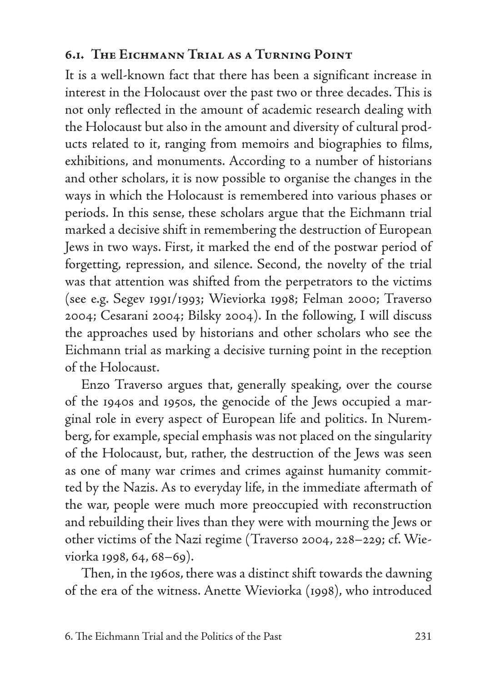## **6.1. The Eichmann Trial as a Turning Point**

It is a well-known fact that there has been a significant increase in interest in the Holocaust over the past two or three decades. This is not only reflected in the amount of academic research dealing with the Holocaust but also in the amount and diversity of cultural products related to it, ranging from memoirs and biographies to films, exhibitions, and monuments. According to a number of historians and other scholars, it is now possible to organise the changes in the ways in which the Holocaust is remembered into various phases or periods. In this sense, these scholars argue that the Eichmann trial marked a decisive shift in remembering the destruction of European Jews in two ways. First, it marked the end of the postwar period of forgetting, repression, and silence. Second, the novelty of the trial was that attention was shifted from the perpetrators to the victims (see e.g. Segev 1991/1993; Wieviorka 1998; Felman 2000; Traverso 2004; Cesarani 2004; Bilsky 2004). In the following, I will discuss the approaches used by historians and other scholars who see the Eichmann trial as marking a decisive turning point in the reception of the Holocaust.

Enzo Traverso argues that, generally speaking, over the course of the 1940s and 1950s, the genocide of the Jews occupied a marginal role in every aspect of European life and politics. In Nuremberg, for example, special emphasis was not placed on the singularity of the Holocaust, but, rather, the destruction of the Jews was seen as one of many war crimes and crimes against humanity committed by the Nazis. As to everyday life, in the immediate aftermath of the war, people were much more preoccupied with reconstruction and rebuilding their lives than they were with mourning the Jews or other victims of the Nazi regime (Traverso 2004, 228–229; cf. Wieviorka 1998, 64, 68–69).

Then, in the 1960s, there was a distinct shift towards the dawning of the era of the witness. Anette Wieviorka (1998), who introduced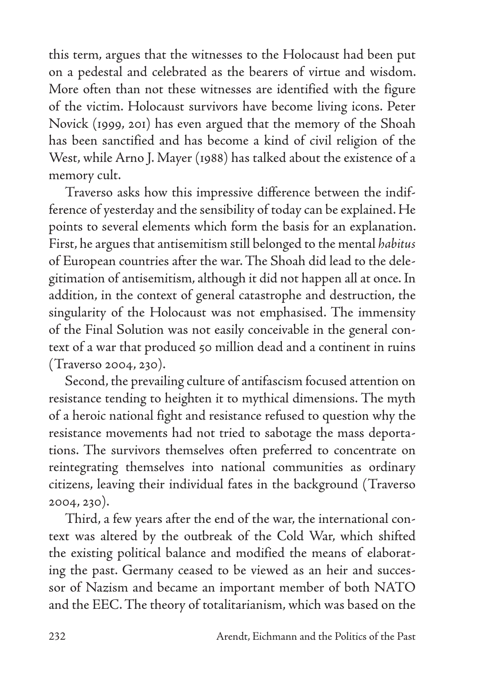this term, argues that the witnesses to the Holocaust had been put on a pedestal and celebrated as the bearers of virtue and wisdom. More often than not these witnesses are identified with the figure of the victim. Holocaust survivors have become living icons. Peter Novick (1999, 201) has even argued that the memory of the Shoah has been sanctified and has become a kind of civil religion of the West, while Arno J. Mayer (1988) has talked about the existence of a memory cult.

Traverso asks how this impressive difference between the indifference of yesterday and the sensibility of today can be explained. He points to several elements which form the basis for an explanation. First, he argues that antisemitism still belonged to the mental *habitus* of European countries after the war. The Shoah did lead to the delegitimation of antisemitism, although it did not happen all at once. In addition, in the context of general catastrophe and destruction, the singularity of the Holocaust was not emphasised. The immensity of the Final Solution was not easily conceivable in the general context of a war that produced 50 million dead and a continent in ruins (Traverso 2004, 230).

Second, the prevailing culture of antifascism focused attention on resistance tending to heighten it to mythical dimensions. The myth of a heroic national fight and resistance refused to question why the resistance movements had not tried to sabotage the mass deportations. The survivors themselves often preferred to concentrate on reintegrating themselves into national communities as ordinary citizens, leaving their individual fates in the background (Traverso 2004, 230).

Third, a few years after the end of the war, the international context was altered by the outbreak of the Cold War, which shifted the existing political balance and modified the means of elaborating the past. Germany ceased to be viewed as an heir and successor of Nazism and became an important member of both NATO and the EEC. The theory of totalitarianism, which was based on the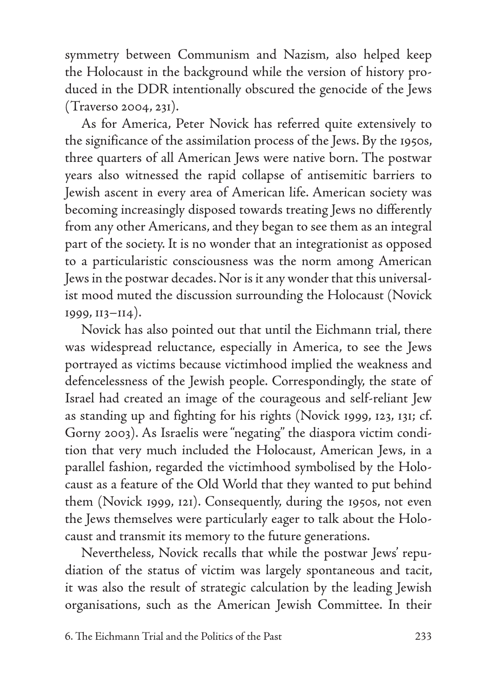symmetry between Communism and Nazism, also helped keep the Holocaust in the background while the version of history produced in the DDR intentionally obscured the genocide of the Jews (Traverso 2004, 231).

As for America, Peter Novick has referred quite extensively to the significance of the assimilation process of the Jews. By the 1950s, three quarters of all American Jews were native born. The postwar years also witnessed the rapid collapse of antisemitic barriers to Jewish ascent in every area of American life. American society was becoming increasingly disposed towards treating Jews no differently from any other Americans, and they began to see them as an integral part of the society. It is no wonder that an integrationist as opposed to a particularistic consciousness was the norm among American Jews in the postwar decades. Nor is it any wonder that this universalist mood muted the discussion surrounding the Holocaust (Novick 1999, 113–114).

Novick has also pointed out that until the Eichmann trial, there was widespread reluctance, especially in America, to see the Jews portrayed as victims because victimhood implied the weakness and defencelessness of the Jewish people. Correspondingly, the state of Israel had created an image of the courageous and self-reliant Jew as standing up and fighting for his rights (Novick 1999, 123, 131; cf. Gorny 2003). As Israelis were "negating" the diaspora victim condition that very much included the Holocaust, American Jews, in a parallel fashion, regarded the victimhood symbolised by the Holocaust as a feature of the Old World that they wanted to put behind them (Novick 1999, 121). Consequently, during the 1950s, not even the Jews themselves were particularly eager to talk about the Holocaust and transmit its memory to the future generations.

Nevertheless, Novick recalls that while the postwar Jews' repudiation of the status of victim was largely spontaneous and tacit, it was also the result of strategic calculation by the leading Jewish organisations, such as the American Jewish Committee. In their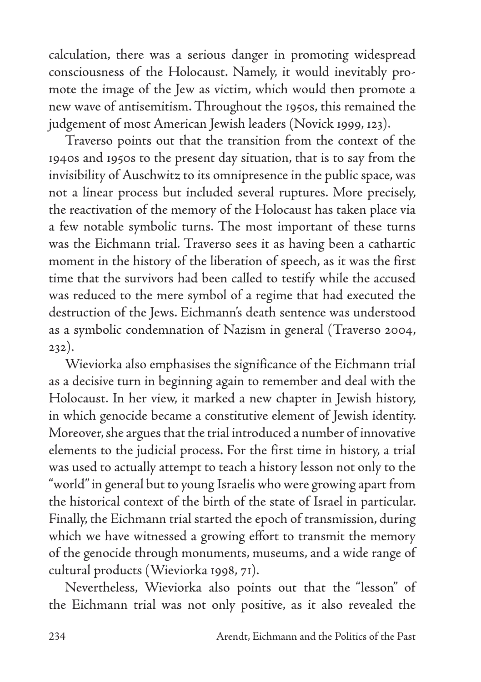calculation, there was a serious danger in promoting widespread consciousness of the Holocaust. Namely, it would inevitably promote the image of the Jew as victim, which would then promote a new wave of antisemitism. Throughout the 1950s, this remained the judgement of most American Jewish leaders (Novick 1999, 123).

Traverso points out that the transition from the context of the 1940s and 1950s to the present day situation, that is to say from the invisibility of Auschwitz to its omnipresence in the public space, was not a linear process but included several ruptures. More precisely, the reactivation of the memory of the Holocaust has taken place via a few notable symbolic turns. The most important of these turns was the Eichmann trial. Traverso sees it as having been a cathartic moment in the history of the liberation of speech, as it was the first time that the survivors had been called to testify while the accused was reduced to the mere symbol of a regime that had executed the destruction of the Jews. Eichmann's death sentence was understood as a symbolic condemnation of Nazism in general (Traverso 2004, 232).

Wieviorka also emphasises the significance of the Eichmann trial as a decisive turn in beginning again to remember and deal with the Holocaust. In her view, it marked a new chapter in Jewish history, in which genocide became a constitutive element of Jewish identity. Moreover, she argues that the trial introduced a number of innovative elements to the judicial process. For the first time in history, a trial was used to actually attempt to teach a history lesson not only to the "world" in general but to young Israelis who were growing apart from the historical context of the birth of the state of Israel in particular. Finally, the Eichmann trial started the epoch of transmission, during which we have witnessed a growing effort to transmit the memory of the genocide through monuments, museums, and a wide range of cultural products (Wieviorka 1998, 71).

Nevertheless, Wieviorka also points out that the "lesson" of the Eichmann trial was not only positive, as it also revealed the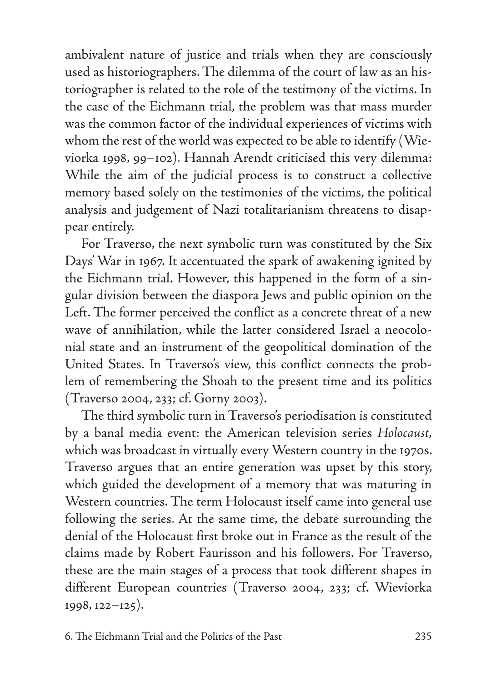ambivalent nature of justice and trials when they are consciously used as historiographers. The dilemma of the court of law as an historiographer is related to the role of the testimony of the victims. In the case of the Eichmann trial, the problem was that mass murder was the common factor of the individual experiences of victims with whom the rest of the world was expected to be able to identify (Wieviorka 1998, 99–102). Hannah Arendt criticised this very dilemma: While the aim of the judicial process is to construct a collective memory based solely on the testimonies of the victims, the political analysis and judgement of Nazi totalitarianism threatens to disappear entirely.

For Traverso, the next symbolic turn was constituted by the Six Days' War in 1967. It accentuated the spark of awakening ignited by the Eichmann trial. However, this happened in the form of a singular division between the diaspora Jews and public opinion on the Left. The former perceived the conflict as a concrete threat of a new wave of annihilation, while the latter considered Israel a neocolonial state and an instrument of the geopolitical domination of the United States. In Traverso's view, this conflict connects the problem of remembering the Shoah to the present time and its politics (Traverso 2004, 233; cf. Gorny 2003).

The third symbolic turn in Traverso's periodisation is constituted by a banal media event: the American television series *Holocaust,*  which was broadcast in virtually every Western country in the 1970s. Traverso argues that an entire generation was upset by this story, which guided the development of a memory that was maturing in Western countries. The term Holocaust itself came into general use following the series. At the same time, the debate surrounding the denial of the Holocaust first broke out in France as the result of the claims made by Robert Faurisson and his followers. For Traverso, these are the main stages of a process that took different shapes in different European countries (Traverso 2004, 233; cf. Wieviorka 1998, 122–125).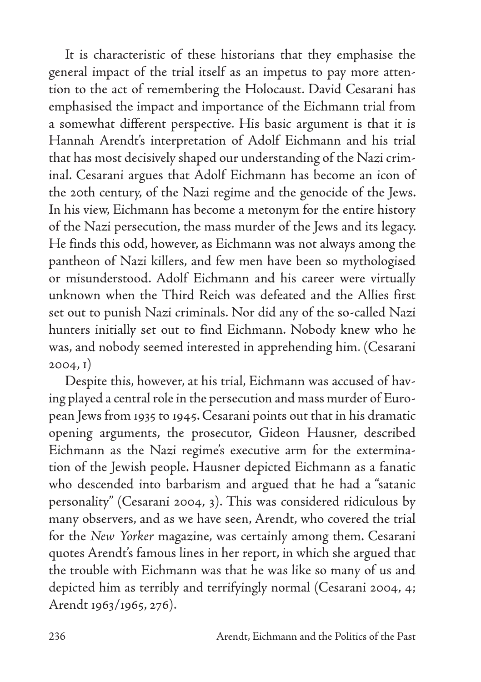It is characteristic of these historians that they emphasise the general impact of the trial itself as an impetus to pay more attention to the act of remembering the Holocaust. David Cesarani has emphasised the impact and importance of the Eichmann trial from a somewhat different perspective. His basic argument is that it is Hannah Arendt's interpretation of Adolf Eichmann and his trial that has most decisively shaped our understanding of the Nazi criminal. Cesarani argues that Adolf Eichmann has become an icon of the 20th century, of the Nazi regime and the genocide of the Jews. In his view, Eichmann has become a metonym for the entire history of the Nazi persecution, the mass murder of the Jews and its legacy. He finds this odd, however, as Eichmann was not always among the pantheon of Nazi killers, and few men have been so mythologised or misunderstood. Adolf Eichmann and his career were virtually unknown when the Third Reich was defeated and the Allies first set out to punish Nazi criminals. Nor did any of the so-called Nazi hunters initially set out to find Eichmann. Nobody knew who he was, and nobody seemed interested in apprehending him. (Cesarani 2004, 1)

Despite this, however, at his trial, Eichmann was accused of having played a central role in the persecution and mass murder of European Jews from 1935 to 1945. Cesarani points out that in his dramatic opening arguments, the prosecutor, Gideon Hausner, described Eichmann as the Nazi regime's executive arm for the extermination of the Jewish people. Hausner depicted Eichmann as a fanatic who descended into barbarism and argued that he had a "satanic personality" (Cesarani 2004, 3). This was considered ridiculous by many observers, and as we have seen, Arendt, who covered the trial for the *New Yorker* magazine, was certainly among them. Cesarani quotes Arendt's famous lines in her report, in which she argued that the trouble with Eichmann was that he was like so many of us and depicted him as terribly and terrifyingly normal (Cesarani 2004, 4; Arendt 1963/1965, 276).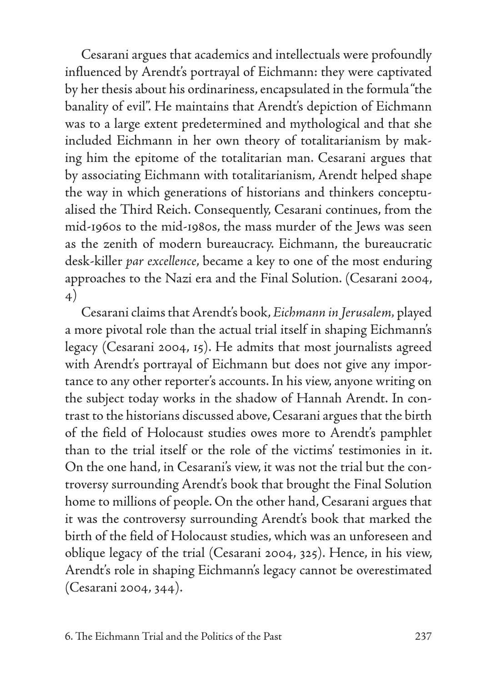Cesarani argues that academics and intellectuals were profoundly influenced by Arendt's portrayal of Eichmann: they were captivated by her thesis about his ordinariness, encapsulated in the formula "the banality of evil". He maintains that Arendt's depiction of Eichmann was to a large extent predetermined and mythological and that she included Eichmann in her own theory of totalitarianism by making him the epitome of the totalitarian man. Cesarani argues that by associating Eichmann with totalitarianism, Arendt helped shape the way in which generations of historians and thinkers conceptualised the Third Reich. Consequently, Cesarani continues, from the mid-1960s to the mid-1980s, the mass murder of the Jews was seen as the zenith of modern bureaucracy. Eichmann, the bureaucratic desk-killer *par excellence*, became a key to one of the most enduring approaches to the Nazi era and the Final Solution. (Cesarani 2004, 4)

Cesarani claims that Arendt's book, *Eichmann in Jerusalem,* played a more pivotal role than the actual trial itself in shaping Eichmann's legacy (Cesarani 2004, 15). He admits that most journalists agreed with Arendt's portrayal of Eichmann but does not give any importance to any other reporter's accounts. In his view, anyone writing on the subject today works in the shadow of Hannah Arendt. In contrast to the historians discussed above, Cesarani argues that the birth of the field of Holocaust studies owes more to Arendt's pamphlet than to the trial itself or the role of the victims' testimonies in it. On the one hand, in Cesarani's view, it was not the trial but the controversy surrounding Arendt's book that brought the Final Solution home to millions of people. On the other hand, Cesarani argues that it was the controversy surrounding Arendt's book that marked the birth of the field of Holocaust studies, which was an unforeseen and oblique legacy of the trial (Cesarani 2004, 325). Hence, in his view, Arendt's role in shaping Eichmann's legacy cannot be overestimated (Cesarani 2004, 344).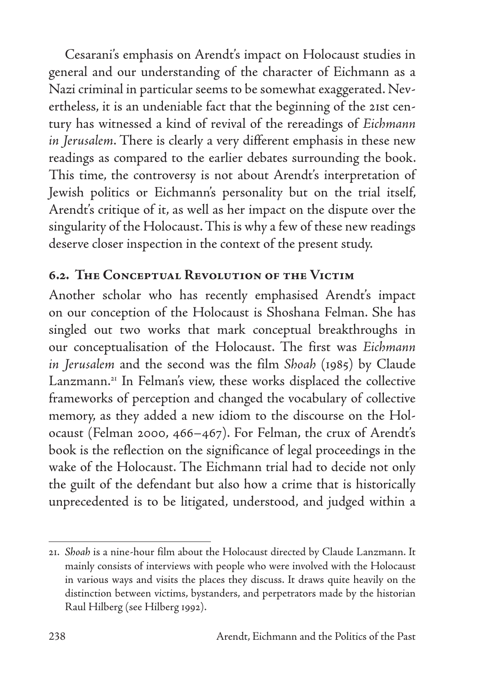Cesarani's emphasis on Arendt's impact on Holocaust studies in general and our understanding of the character of Eichmann as a Nazi criminal in particular seems to be somewhat exaggerated. Nevertheless, it is an undeniable fact that the beginning of the 21st century has witnessed a kind of revival of the rereadings of *Eichmann in Jerusalem*. There is clearly a very different emphasis in these new readings as compared to the earlier debates surrounding the book. This time, the controversy is not about Arendt's interpretation of Jewish politics or Eichmann's personality but on the trial itself, Arendt's critique of it, as well as her impact on the dispute over the singularity of the Holocaust. This is why a few of these new readings deserve closer inspection in the context of the present study.

### **6.2. The Conceptual Revolution of the Victim**

Another scholar who has recently emphasised Arendt's impact on our conception of the Holocaust is Shoshana Felman. She has singled out two works that mark conceptual breakthroughs in our conceptualisation of the Holocaust. The first was *Eichmann in Jerusalem* and the second was the film *Shoah* (1985) by Claude Lanzmann.<sup>21</sup> In Felman's view, these works displaced the collective frameworks of perception and changed the vocabulary of collective memory, as they added a new idiom to the discourse on the Holocaust (Felman 2000, 466–467). For Felman, the crux of Arendt's book is the reflection on the significance of legal proceedings in the wake of the Holocaust. The Eichmann trial had to decide not only the guilt of the defendant but also how a crime that is historically unprecedented is to be litigated, understood, and judged within a

<sup>21.</sup> *Shoah* is a nine-hour film about the Holocaust directed by Claude Lanzmann. It mainly consists of interviews with people who were involved with the Holocaust in various ways and visits the places they discuss. It draws quite heavily on the distinction between victims, bystanders, and perpetrators made by the historian Raul Hilberg (see Hilberg 1992).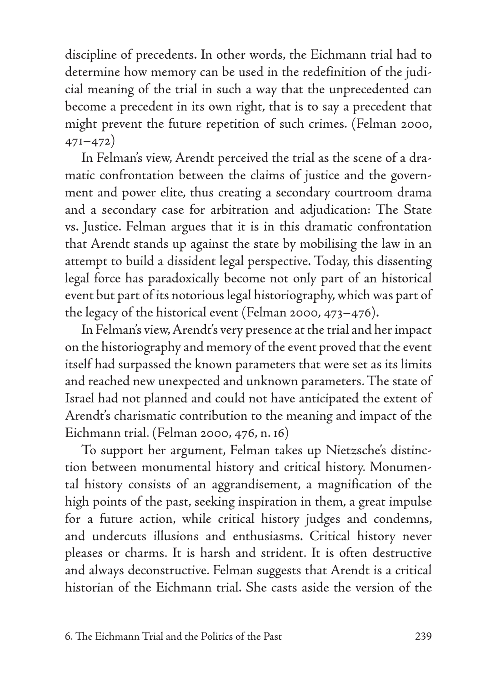discipline of precedents. In other words, the Eichmann trial had to determine how memory can be used in the redefinition of the judicial meaning of the trial in such a way that the unprecedented can become a precedent in its own right, that is to say a precedent that might prevent the future repetition of such crimes. (Felman 2000, 471–472)

In Felman's view, Arendt perceived the trial as the scene of a dramatic confrontation between the claims of justice and the government and power elite, thus creating a secondary courtroom drama and a secondary case for arbitration and adjudication: The State vs. Justice. Felman argues that it is in this dramatic confrontation that Arendt stands up against the state by mobilising the law in an attempt to build a dissident legal perspective. Today, this dissenting legal force has paradoxically become not only part of an historical event but part of its notorious legal historiography, which was part of the legacy of the historical event (Felman 2000, 473–476).

In Felman's view, Arendt's very presence at the trial and her impact on the historiography and memory of the event proved that the event itself had surpassed the known parameters that were set as its limits and reached new unexpected and unknown parameters. The state of Israel had not planned and could not have anticipated the extent of Arendt's charismatic contribution to the meaning and impact of the Eichmann trial. (Felman 2000, 476, n. 16)

To support her argument, Felman takes up Nietzsche's distinction between monumental history and critical history. Monumental history consists of an aggrandisement, a magnification of the high points of the past, seeking inspiration in them, a great impulse for a future action, while critical history judges and condemns, and undercuts illusions and enthusiasms. Critical history never pleases or charms. It is harsh and strident. It is often destructive and always deconstructive. Felman suggests that Arendt is a critical historian of the Eichmann trial. She casts aside the version of the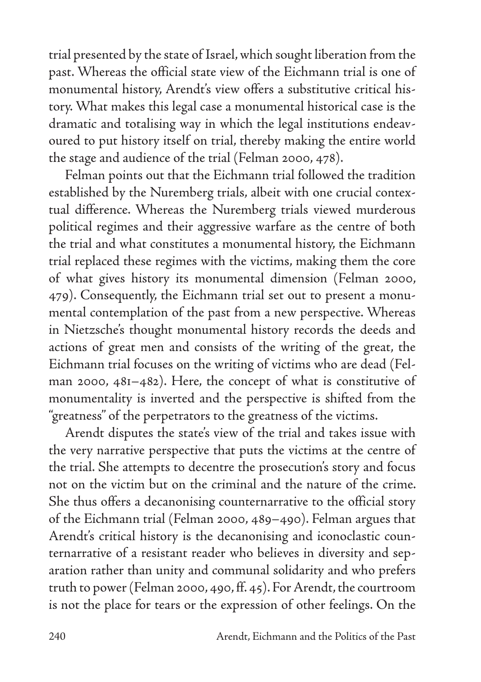trial presented by the state of Israel, which sought liberation from the past. Whereas the official state view of the Eichmann trial is one of monumental history, Arendt's view offers a substitutive critical history. What makes this legal case a monumental historical case is the dramatic and totalising way in which the legal institutions endeavoured to put history itself on trial, thereby making the entire world the stage and audience of the trial (Felman 2000, 478).

Felman points out that the Eichmann trial followed the tradition established by the Nuremberg trials, albeit with one crucial contextual difference. Whereas the Nuremberg trials viewed murderous political regimes and their aggressive warfare as the centre of both the trial and what constitutes a monumental history, the Eichmann trial replaced these regimes with the victims, making them the core of what gives history its monumental dimension (Felman 2000, 479). Consequently, the Eichmann trial set out to present a monumental contemplation of the past from a new perspective. Whereas in Nietzsche's thought monumental history records the deeds and actions of great men and consists of the writing of the great, the Eichmann trial focuses on the writing of victims who are dead (Felman 2000, 481–482). Here, the concept of what is constitutive of monumentality is inverted and the perspective is shifted from the "greatness" of the perpetrators to the greatness of the victims.

Arendt disputes the state's view of the trial and takes issue with the very narrative perspective that puts the victims at the centre of the trial. She attempts to decentre the prosecution's story and focus not on the victim but on the criminal and the nature of the crime. She thus offers a decanonising counternarrative to the official story of the Eichmann trial (Felman 2000, 489–490). Felman argues that Arendt's critical history is the decanonising and iconoclastic counternarrative of a resistant reader who believes in diversity and separation rather than unity and communal solidarity and who prefers truth to power (Felman 2000, 490, ff. 45). For Arendt, the courtroom is not the place for tears or the expression of other feelings. On the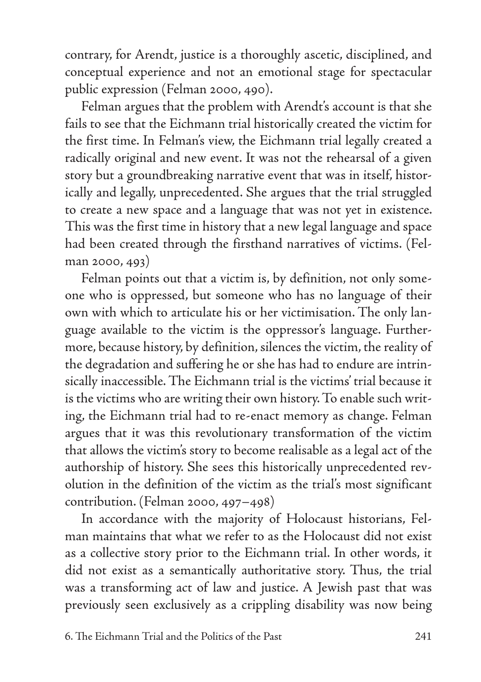contrary, for Arendt, justice is a thoroughly ascetic, disciplined, and conceptual experience and not an emotional stage for spectacular public expression (Felman 2000, 490).

Felman argues that the problem with Arendt's account is that she fails to see that the Eichmann trial historically created the victim for the first time. In Felman's view, the Eichmann trial legally created a radically original and new event. It was not the rehearsal of a given story but a groundbreaking narrative event that was in itself, historically and legally, unprecedented. She argues that the trial struggled to create a new space and a language that was not yet in existence. This was the first time in history that a new legal language and space had been created through the firsthand narratives of victims. (Felman 2000, 493)

Felman points out that a victim is, by definition, not only someone who is oppressed, but someone who has no language of their own with which to articulate his or her victimisation. The only language available to the victim is the oppressor's language. Furthermore, because history, by definition, silences the victim, the reality of the degradation and suffering he or she has had to endure are intrinsically inaccessible. The Eichmann trial is the victims' trial because it is the victims who are writing their own history. To enable such writing, the Eichmann trial had to re-enact memory as change. Felman argues that it was this revolutionary transformation of the victim that allows the victim's story to become realisable as a legal act of the authorship of history. She sees this historically unprecedented revolution in the definition of the victim as the trial's most significant contribution. (Felman 2000, 497–498)

In accordance with the majority of Holocaust historians, Felman maintains that what we refer to as the Holocaust did not exist as a collective story prior to the Eichmann trial. In other words, it did not exist as a semantically authoritative story. Thus, the trial was a transforming act of law and justice. A Jewish past that was previously seen exclusively as a crippling disability was now being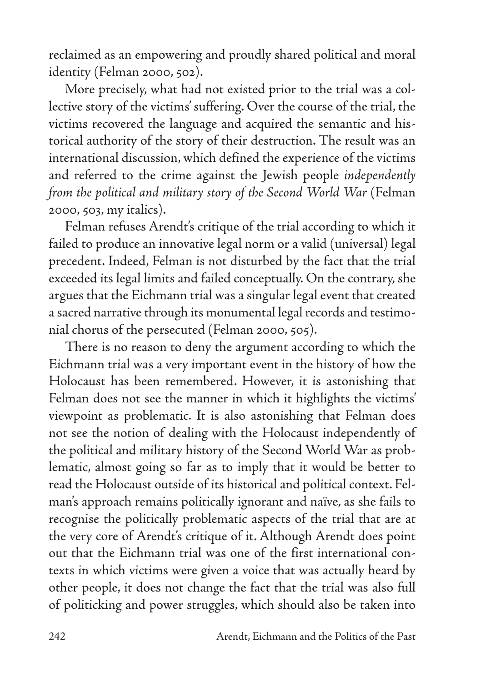reclaimed as an empowering and proudly shared political and moral identity (Felman 2000, 502).

More precisely, what had not existed prior to the trial was a collective story of the victims' suffering. Over the course of the trial, the victims recovered the language and acquired the semantic and historical authority of the story of their destruction. The result was an international discussion, which defined the experience of the victims and referred to the crime against the Jewish people *independently from the political and military story of the Second World War* (Felman 2000, 503, my italics).

Felman refuses Arendt's critique of the trial according to which it failed to produce an innovative legal norm or a valid (universal) legal precedent. Indeed, Felman is not disturbed by the fact that the trial exceeded its legal limits and failed conceptually. On the contrary, she argues that the Eichmann trial was a singular legal event that created a sacred narrative through its monumental legal records and testimonial chorus of the persecuted (Felman 2000, 505).

There is no reason to deny the argument according to which the Eichmann trial was a very important event in the history of how the Holocaust has been remembered. However, it is astonishing that Felman does not see the manner in which it highlights the victims' viewpoint as problematic. It is also astonishing that Felman does not see the notion of dealing with the Holocaust independently of the political and military history of the Second World War as problematic, almost going so far as to imply that it would be better to read the Holocaust outside of its historical and political context. Felman's approach remains politically ignorant and naïve, as she fails to recognise the politically problematic aspects of the trial that are at the very core of Arendt's critique of it. Although Arendt does point out that the Eichmann trial was one of the first international contexts in which victims were given a voice that was actually heard by other people, it does not change the fact that the trial was also full of politicking and power struggles, which should also be taken into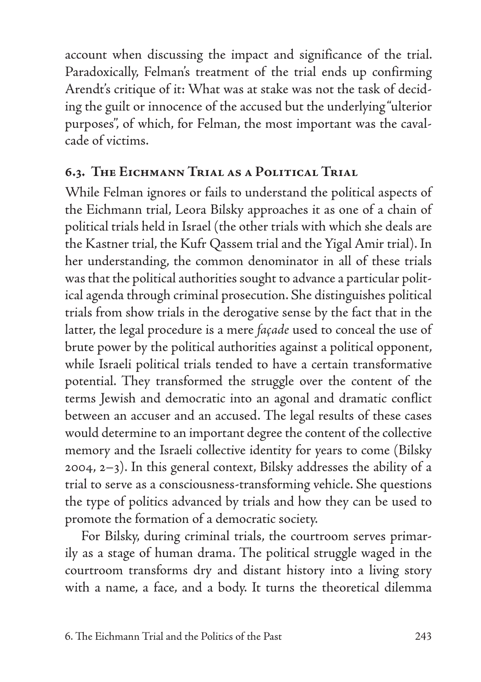account when discussing the impact and significance of the trial. Paradoxically, Felman's treatment of the trial ends up confirming Arendt's critique of it: What was at stake was not the task of deciding the guilt or innocence of the accused but the underlying "ulterior purposes", of which, for Felman, the most important was the cavalcade of victims.

### **6.3. The Eichmann Trial as a Political Trial**

While Felman ignores or fails to understand the political aspects of the Eichmann trial, Leora Bilsky approaches it as one of a chain of political trials held in Israel (the other trials with which she deals are the Kastner trial, the Kufr Qassem trial and the Yigal Amir trial). In her understanding, the common denominator in all of these trials was that the political authorities sought to advance a particular political agenda through criminal prosecution. She distinguishes political trials from show trials in the derogative sense by the fact that in the latter, the legal procedure is a mere *façade* used to conceal the use of brute power by the political authorities against a political opponent, while Israeli political trials tended to have a certain transformative potential. They transformed the struggle over the content of the terms Jewish and democratic into an agonal and dramatic conflict between an accuser and an accused. The legal results of these cases would determine to an important degree the content of the collective memory and the Israeli collective identity for years to come (Bilsky 2004, 2–3). In this general context, Bilsky addresses the ability of a trial to serve as a consciousness-transforming vehicle. She questions the type of politics advanced by trials and how they can be used to promote the formation of a democratic society.

For Bilsky, during criminal trials, the courtroom serves primarily as a stage of human drama. The political struggle waged in the courtroom transforms dry and distant history into a living story with a name, a face, and a body. It turns the theoretical dilemma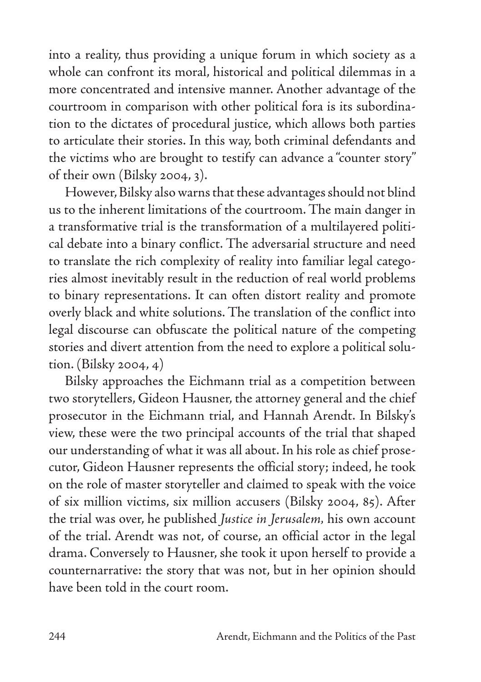into a reality, thus providing a unique forum in which society as a whole can confront its moral, historical and political dilemmas in a more concentrated and intensive manner. Another advantage of the courtroom in comparison with other political fora is its subordination to the dictates of procedural justice, which allows both parties to articulate their stories. In this way, both criminal defendants and the victims who are brought to testify can advance a "counter story" of their own (Bilsky 2004, 3).

However, Bilsky also warns that these advantages should not blind us to the inherent limitations of the courtroom. The main danger in a transformative trial is the transformation of a multilayered political debate into a binary conflict. The adversarial structure and need to translate the rich complexity of reality into familiar legal categories almost inevitably result in the reduction of real world problems to binary representations. It can often distort reality and promote overly black and white solutions. The translation of the conflict into legal discourse can obfuscate the political nature of the competing stories and divert attention from the need to explore a political solution. (Bilsky 2004, 4)

Bilsky approaches the Eichmann trial as a competition between two storytellers, Gideon Hausner, the attorney general and the chief prosecutor in the Eichmann trial, and Hannah Arendt. In Bilsky's view, these were the two principal accounts of the trial that shaped our understanding of what it was all about. In his role as chief prosecutor, Gideon Hausner represents the official story; indeed, he took on the role of master storyteller and claimed to speak with the voice of six million victims, six million accusers (Bilsky 2004, 85). After the trial was over, he published *Justice in Jerusalem,* his own account of the trial. Arendt was not, of course, an official actor in the legal drama. Conversely to Hausner, she took it upon herself to provide a counternarrative: the story that was not, but in her opinion should have been told in the court room.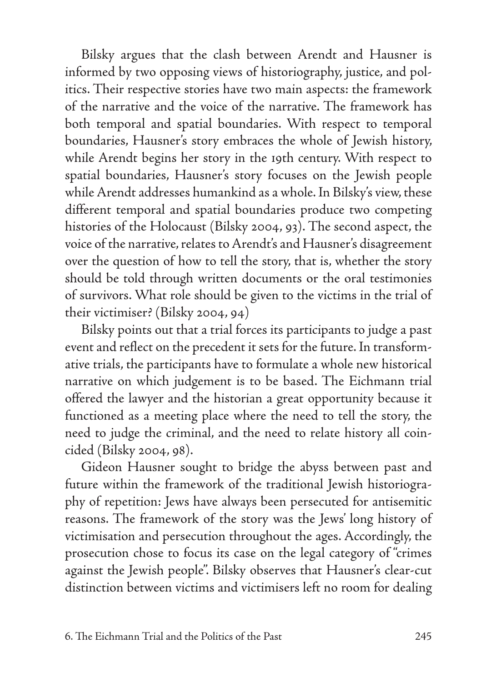Bilsky argues that the clash between Arendt and Hausner is informed by two opposing views of historiography, justice, and politics. Their respective stories have two main aspects: the framework of the narrative and the voice of the narrative. The framework has both temporal and spatial boundaries. With respect to temporal boundaries, Hausner's story embraces the whole of Jewish history, while Arendt begins her story in the 19th century. With respect to spatial boundaries, Hausner's story focuses on the Jewish people while Arendt addresses humankind as a whole. In Bilsky's view, these different temporal and spatial boundaries produce two competing histories of the Holocaust (Bilsky 2004, 93). The second aspect, the voice of the narrative, relates to Arendt's and Hausner's disagreement over the question of how to tell the story, that is, whether the story should be told through written documents or the oral testimonies of survivors. What role should be given to the victims in the trial of their victimiser? (Bilsky 2004, 94)

Bilsky points out that a trial forces its participants to judge a past event and reflect on the precedent it sets for the future. In transformative trials, the participants have to formulate a whole new historical narrative on which judgement is to be based. The Eichmann trial offered the lawyer and the historian a great opportunity because it functioned as a meeting place where the need to tell the story, the need to judge the criminal, and the need to relate history all coincided (Bilsky 2004, 98).

Gideon Hausner sought to bridge the abyss between past and future within the framework of the traditional Jewish historiography of repetition: Jews have always been persecuted for antisemitic reasons. The framework of the story was the Jews' long history of victimisation and persecution throughout the ages. Accordingly, the prosecution chose to focus its case on the legal category of "crimes against the Jewish people". Bilsky observes that Hausner's clear-cut distinction between victims and victimisers left no room for dealing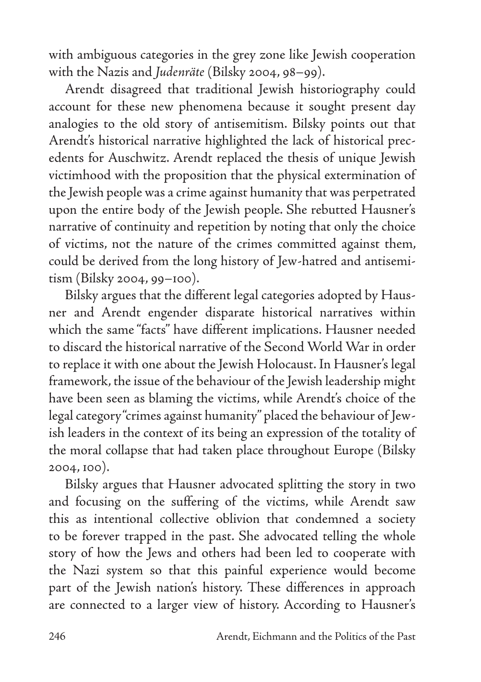with ambiguous categories in the grey zone like Jewish cooperation with the Nazis and *Judenräte* (Bilsky 2004, 98–99).

Arendt disagreed that traditional Jewish historiography could account for these new phenomena because it sought present day analogies to the old story of antisemitism. Bilsky points out that Arendt's historical narrative highlighted the lack of historical precedents for Auschwitz. Arendt replaced the thesis of unique Jewish victimhood with the proposition that the physical extermination of the Jewish people was a crime against humanity that was perpetrated upon the entire body of the Jewish people. She rebutted Hausner's narrative of continuity and repetition by noting that only the choice of victims, not the nature of the crimes committed against them, could be derived from the long history of Jew-hatred and antisemitism (Bilsky 2004, 99–100).

Bilsky argues that the different legal categories adopted by Hausner and Arendt engender disparate historical narratives within which the same "facts" have different implications. Hausner needed to discard the historical narrative of the Second World War in order to replace it with one about the Jewish Holocaust. In Hausner's legal framework, the issue of the behaviour of the Jewish leadership might have been seen as blaming the victims, while Arendt's choice of the legal category "crimes against humanity" placed the behaviour of Jewish leaders in the context of its being an expression of the totality of the moral collapse that had taken place throughout Europe (Bilsky 2004, 100).

Bilsky argues that Hausner advocated splitting the story in two and focusing on the suffering of the victims, while Arendt saw this as intentional collective oblivion that condemned a society to be forever trapped in the past. She advocated telling the whole story of how the Jews and others had been led to cooperate with the Nazi system so that this painful experience would become part of the Jewish nation's history. These differences in approach are connected to a larger view of history. According to Hausner's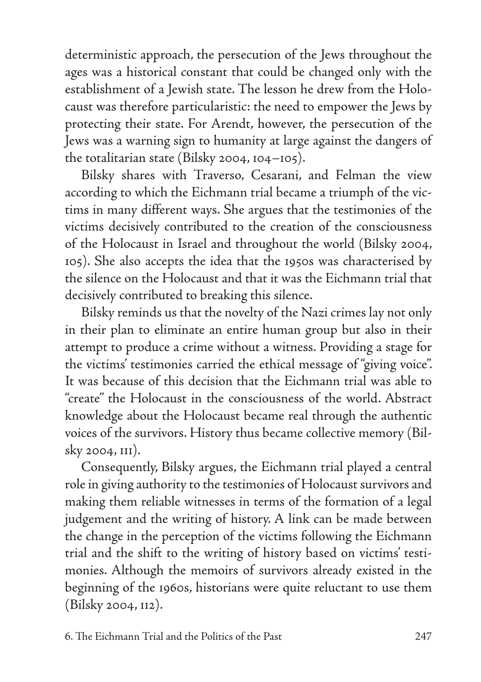deterministic approach, the persecution of the Jews throughout the ages was a historical constant that could be changed only with the establishment of a Jewish state. The lesson he drew from the Holocaust was therefore particularistic: the need to empower the Jews by protecting their state. For Arendt, however, the persecution of the Jews was a warning sign to humanity at large against the dangers of the totalitarian state (Bilsky 2004, 104–105).

Bilsky shares with Traverso, Cesarani, and Felman the view according to which the Eichmann trial became a triumph of the victims in many different ways. She argues that the testimonies of the victims decisively contributed to the creation of the consciousness of the Holocaust in Israel and throughout the world (Bilsky 2004, 105). She also accepts the idea that the 1950s was characterised by the silence on the Holocaust and that it was the Eichmann trial that decisively contributed to breaking this silence.

Bilsky reminds us that the novelty of the Nazi crimes lay not only in their plan to eliminate an entire human group but also in their attempt to produce a crime without a witness. Providing a stage for the victims' testimonies carried the ethical message of "giving voice". It was because of this decision that the Eichmann trial was able to "create" the Holocaust in the consciousness of the world. Abstract knowledge about the Holocaust became real through the authentic voices of the survivors. History thus became collective memory (Bilsky 2004, 111).

Consequently, Bilsky argues, the Eichmann trial played a central role in giving authority to the testimonies of Holocaust survivors and making them reliable witnesses in terms of the formation of a legal judgement and the writing of history. A link can be made between the change in the perception of the victims following the Eichmann trial and the shift to the writing of history based on victims' testimonies. Although the memoirs of survivors already existed in the beginning of the 1960s, historians were quite reluctant to use them (Bilsky 2004, 112).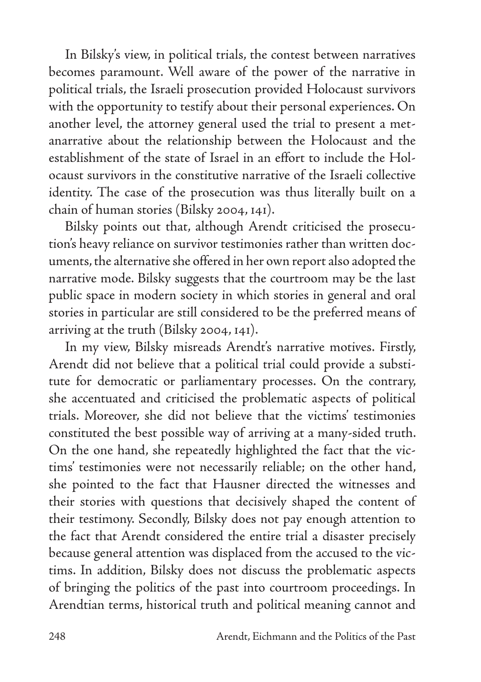In Bilsky's view, in political trials, the contest between narratives becomes paramount. Well aware of the power of the narrative in political trials, the Israeli prosecution provided Holocaust survivors with the opportunity to testify about their personal experiences. On another level, the attorney general used the trial to present a metanarrative about the relationship between the Holocaust and the establishment of the state of Israel in an effort to include the Holocaust survivors in the constitutive narrative of the Israeli collective identity. The case of the prosecution was thus literally built on a chain of human stories (Bilsky 2004, 141).

Bilsky points out that, although Arendt criticised the prosecution's heavy reliance on survivor testimonies rather than written documents, the alternative she offered in her own report also adopted the narrative mode. Bilsky suggests that the courtroom may be the last public space in modern society in which stories in general and oral stories in particular are still considered to be the preferred means of arriving at the truth (Bilsky 2004, 141).

In my view, Bilsky misreads Arendt's narrative motives. Firstly, Arendt did not believe that a political trial could provide a substitute for democratic or parliamentary processes. On the contrary, she accentuated and criticised the problematic aspects of political trials. Moreover, she did not believe that the victims' testimonies constituted the best possible way of arriving at a many-sided truth. On the one hand, she repeatedly highlighted the fact that the victims' testimonies were not necessarily reliable; on the other hand, she pointed to the fact that Hausner directed the witnesses and their stories with questions that decisively shaped the content of their testimony. Secondly, Bilsky does not pay enough attention to the fact that Arendt considered the entire trial a disaster precisely because general attention was displaced from the accused to the victims. In addition, Bilsky does not discuss the problematic aspects of bringing the politics of the past into courtroom proceedings. In Arendtian terms, historical truth and political meaning cannot and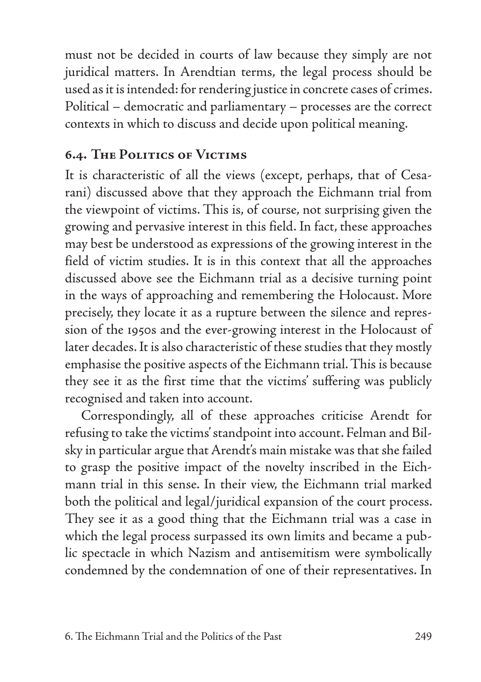must not be decided in courts of law because they simply are not juridical matters. In Arendtian terms, the legal process should be used as it is intended: for rendering justice in concrete cases of crimes. Political – democratic and parliamentary – processes are the correct contexts in which to discuss and decide upon political meaning.

# **6.4. The Politics of Victims**

It is characteristic of all the views (except, perhaps, that of Cesarani) discussed above that they approach the Eichmann trial from the viewpoint of victims. This is, of course, not surprising given the growing and pervasive interest in this field. In fact, these approaches may best be understood as expressions of the growing interest in the field of victim studies. It is in this context that all the approaches discussed above see the Eichmann trial as a decisive turning point in the ways of approaching and remembering the Holocaust. More precisely, they locate it as a rupture between the silence and repression of the 1950s and the ever-growing interest in the Holocaust of later decades. It is also characteristic of these studies that they mostly emphasise the positive aspects of the Eichmann trial. This is because they see it as the first time that the victims' suffering was publicly recognised and taken into account.

Correspondingly, all of these approaches criticise Arendt for refusing to take the victims' standpoint into account. Felman and Bilsky in particular argue that Arendt's main mistake was that she failed to grasp the positive impact of the novelty inscribed in the Eichmann trial in this sense. In their view, the Eichmann trial marked both the political and legal/juridical expansion of the court process. They see it as a good thing that the Eichmann trial was a case in which the legal process surpassed its own limits and became a public spectacle in which Nazism and antisemitism were symbolically condemned by the condemnation of one of their representatives. In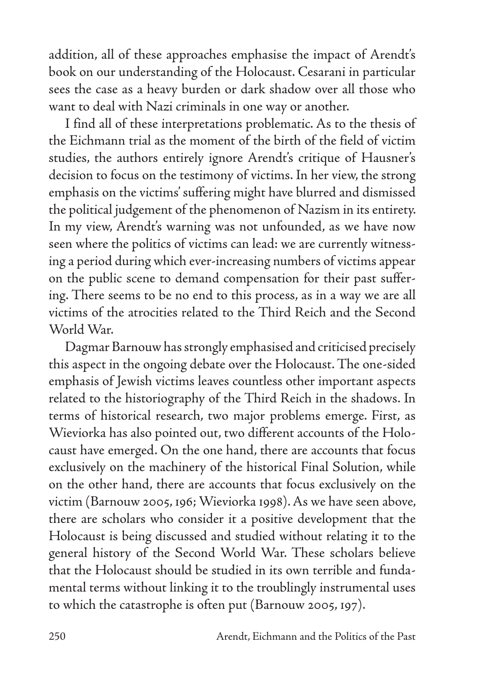addition, all of these approaches emphasise the impact of Arendt's book on our understanding of the Holocaust. Cesarani in particular sees the case as a heavy burden or dark shadow over all those who want to deal with Nazi criminals in one way or another.

I find all of these interpretations problematic. As to the thesis of the Eichmann trial as the moment of the birth of the field of victim studies, the authors entirely ignore Arendt's critique of Hausner's decision to focus on the testimony of victims. In her view, the strong emphasis on the victims' suffering might have blurred and dismissed the political judgement of the phenomenon of Nazism in its entirety. In my view, Arendt's warning was not unfounded, as we have now seen where the politics of victims can lead: we are currently witnessing a period during which ever-increasing numbers of victims appear on the public scene to demand compensation for their past suffering. There seems to be no end to this process, as in a way we are all victims of the atrocities related to the Third Reich and the Second World War.

Dagmar Barnouw has strongly emphasised and criticised precisely this aspect in the ongoing debate over the Holocaust. The one-sided emphasis of Jewish victims leaves countless other important aspects related to the historiography of the Third Reich in the shadows. In terms of historical research, two major problems emerge. First, as Wieviorka has also pointed out, two different accounts of the Holocaust have emerged. On the one hand, there are accounts that focus exclusively on the machinery of the historical Final Solution, while on the other hand, there are accounts that focus exclusively on the victim (Barnouw 2005, 196; Wieviorka 1998). As we have seen above, there are scholars who consider it a positive development that the Holocaust is being discussed and studied without relating it to the general history of the Second World War. These scholars believe that the Holocaust should be studied in its own terrible and fundamental terms without linking it to the troublingly instrumental uses to which the catastrophe is often put (Barnouw 2005, 197).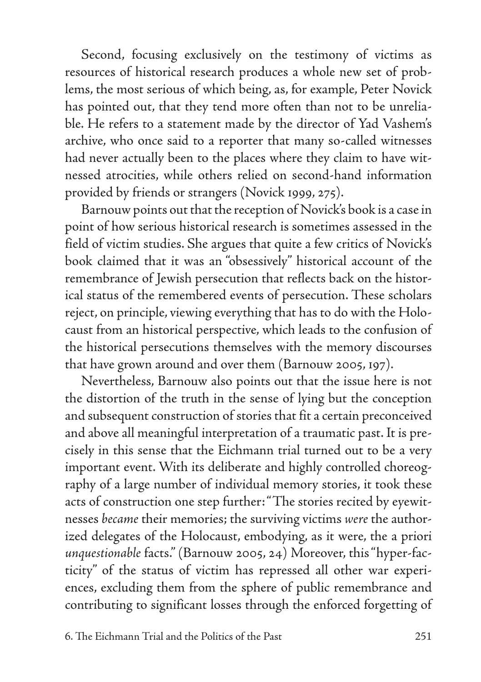Second, focusing exclusively on the testimony of victims as resources of historical research produces a whole new set of problems, the most serious of which being, as, for example, Peter Novick has pointed out, that they tend more often than not to be unreliable. He refers to a statement made by the director of Yad Vashem's archive, who once said to a reporter that many so-called witnesses had never actually been to the places where they claim to have witnessed atrocities, while others relied on second-hand information provided by friends or strangers (Novick 1999, 275).

Barnouw points out that the reception of Novick's book is a case in point of how serious historical research is sometimes assessed in the field of victim studies. She argues that quite a few critics of Novick's book claimed that it was an "obsessively" historical account of the remembrance of Jewish persecution that reflects back on the historical status of the remembered events of persecution. These scholars reject, on principle, viewing everything that has to do with the Holocaust from an historical perspective, which leads to the confusion of the historical persecutions themselves with the memory discourses that have grown around and over them (Barnouw 2005, 197).

Nevertheless, Barnouw also points out that the issue here is not the distortion of the truth in the sense of lying but the conception and subsequent construction of stories that fit a certain preconceived and above all meaningful interpretation of a traumatic past. It is precisely in this sense that the Eichmann trial turned out to be a very important event. With its deliberate and highly controlled choreography of a large number of individual memory stories, it took these acts of construction one step further: "The stories recited by eyewitnesses *became* their memories; the surviving victims *were* the authorized delegates of the Holocaust, embodying, as it were, the a priori *unquestionable* facts." (Barnouw 2005, 24) Moreover, this "hyper-facticity" of the status of victim has repressed all other war experiences, excluding them from the sphere of public remembrance and contributing to significant losses through the enforced forgetting of